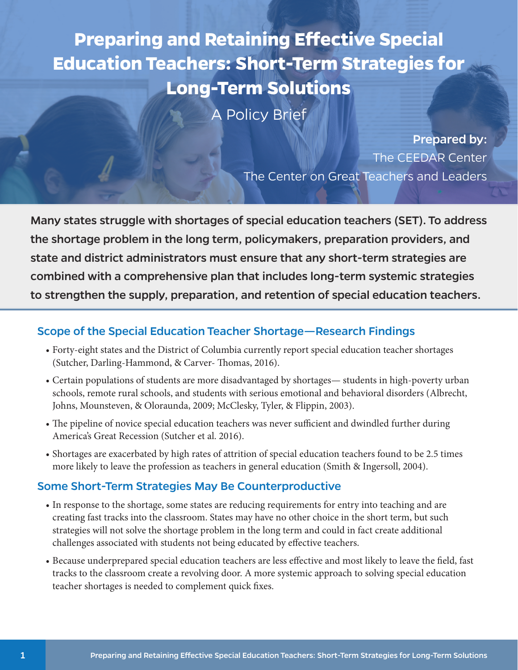**Preparing and Retaining Efective Special Education Teachers: Short-Term Strategies for Long-Term Solutions** 

A Policy Brief

Prepared by: The CEEDAR Center The Center on Great Teachers and Leaders

Many states struggle with shortages of special education teachers (SET). To address the shortage problem in the long term, policymakers, preparation providers, and state and district administrators must ensure that any short-term strategies are combined with a comprehensive plan that includes long-term systemic strategies to strengthen the supply, preparation, and retention of special education teachers.

#### Scope of the Special Education Teacher Shortage—Research Findings

- Forty-eight states and the District of Columbia currently report special education teacher shortages (Sutcher, Darling-Hammond, & Carver- Thomas, 2016).
- Certain populations of students are more disadvantaged by shortages— students in high-poverty urban schools, remote rural schools, and students with serious emotional and behavioral disorders (Albrecht, Johns, Mounsteven, & Oloraunda, 2009; McClesky, Tyler, & Flippin, 2003).
- The pipeline of novice special education teachers was never sufficient and dwindled further during America's Great Recession (Sutcher et al. 2016).
- Shortages are exacerbated by high rates of attrition of special education teachers found to be 2.5 times more likely to leave the profession as teachers in general education (Smith & Ingersoll, 2004).

#### Some Short-Term Strategies May Be Counterproductive

- In response to the shortage, some states are reducing requirements for entry into teaching and are creating fast tracks into the classroom. States may have no other choice in the short term, but such strategies will not solve the shortage problem in the long term and could in fact create additional challenges associated with students not being educated by efective teachers.
- Because underprepared special education teachers are less efective and most likely to leave the feld, fast tracks to the classroom create a revolving door. A more systemic approach to solving special education teacher shortages is needed to complement quick fxes.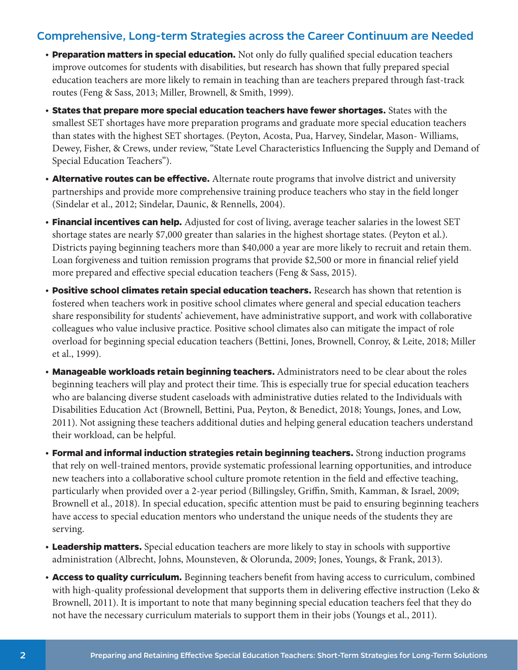#### Comprehensive, Long-term Strategies across the Career Continuum are Needed

- **Preparation matters in special education.** Not only do fully qualifed special education teachers improve outcomes for students with disabilities, but research has shown that fully prepared special education teachers are more likely to remain in teaching than are teachers prepared through fast-track routes (Feng & Sass, 2013; Miller, Brownell, & Smith, 1999).
- **States that prepare more special education teachers have fewer shortages.** States with the smallest SET shortages have more preparation programs and graduate more special education teachers than states with the highest SET shortages. (Peyton, Acosta, Pua, Harvey, Sindelar, Mason- Williams, Dewey, Fisher, & Crews, under review, "State Level Characteristics Infuencing the Supply and Demand of Special Education Teachers").
- **Alternative routes can be efective.** Alternate route programs that involve district and university partnerships and provide more comprehensive training produce teachers who stay in the feld longer (Sindelar et al., 2012; Sindelar, Daunic, & Rennells, 2004).
- **Financial incentives can help.** Adjusted for cost of living, average teacher salaries in the lowest SET shortage states are nearly \$7,000 greater than salaries in the highest shortage states. (Peyton et al.). Districts paying beginning teachers more than \$40,000 a year are more likely to recruit and retain them. Loan forgiveness and tuition remission programs that provide \$2,500 or more in fnancial relief yield more prepared and effective special education teachers (Feng & Sass, 2015).
- **Positive school climates retain special education teachers.** Research has shown that retention is fostered when teachers work in positive school climates where general and special education teachers share responsibility for students' achievement, have administrative support, and work with collaborative colleagues who value inclusive practice. Positive school climates also can mitigate the impact of role overload for beginning special education teachers (Bettini, Jones, Brownell, Conroy, & Leite, 2018; Miller et al., 1999).
- **Manageable workloads retain beginning teachers.** Administrators need to be clear about the roles beginning teachers will play and protect their time. This is especially true for special education teachers who are balancing diverse student caseloads with administrative duties related to the Individuals with Disabilities Education Act (Brownell, Bettini, Pua, Peyton, & Benedict, 2018; Youngs, Jones, and Low, 2011). Not assigning these teachers additional duties and helping general education teachers understand their workload, can be helpful.
- **Formal and informal induction strategies retain beginning teachers.** Strong induction programs that rely on well-trained mentors, provide systematic professional learning opportunities, and introduce new teachers into a collaborative school culture promote retention in the feld and efective teaching, particularly when provided over a 2-year period (Billingsley, Grifn, Smith, Kamman, & Israel, 2009; Brownell et al., 2018). In special education, specifc attention must be paid to ensuring beginning teachers have access to special education mentors who understand the unique needs of the students they are serving.
- **Leadership matters.** Special education teachers are more likely to stay in schools with supportive administration (Albrecht, Johns, Mounsteven, & Olorunda, 2009; Jones, Youngs, & Frank, 2013).
- **Access to quality curriculum.** Beginning teachers beneft from having access to curriculum, combined with high-quality professional development that supports them in delivering effective instruction (Leko & Brownell, 2011). It is important to note that many beginning special education teachers feel that they do not have the necessary curriculum materials to support them in their jobs (Youngs et al., 2011).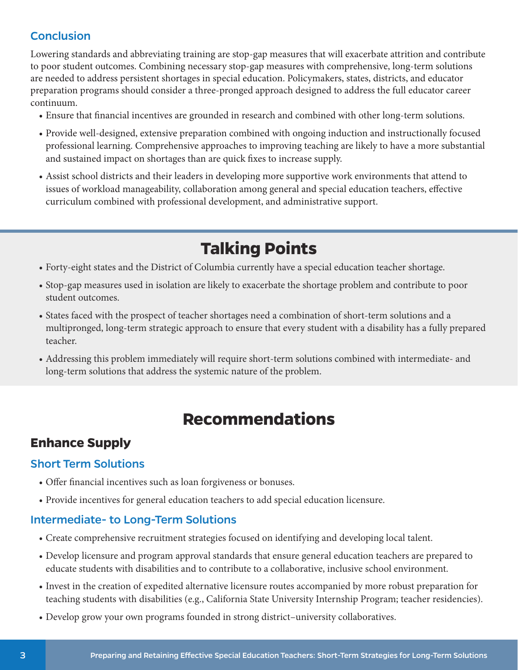#### **Conclusion**

Lowering standards and abbreviating training are stop-gap measures that will exacerbate attrition and contribute to poor student outcomes. Combining necessary stop-gap measures with comprehensive, long-term solutions are needed to address persistent shortages in special education. Policymakers, states, districts, and educator preparation programs should consider a three-pronged approach designed to address the full educator career continuum.

- Ensure that fnancial incentives are grounded in research and combined with other long-term solutions.
- Provide well-designed, extensive preparation combined with ongoing induction and instructionally focused professional learning. Comprehensive approaches to improving teaching are likely to have a more substantial and sustained impact on shortages than are quick fxes to increase supply.
- Assist school districts and their leaders in developing more supportive work environments that attend to issues of workload manageability, collaboration among general and special education teachers, efective curriculum combined with professional development, and administrative support.

# **Talking Points**

- Forty-eight states and the District of Columbia currently have a special education teacher shortage.
- Stop-gap measures used in isolation are likely to exacerbate the shortage problem and contribute to poor student outcomes.
- States faced with the prospect of teacher shortages need a combination of short-term solutions and a multipronged, long-term strategic approach to ensure that every student with a disability has a fully prepared teacher.
- Addressing this problem immediately will require short-term solutions combined with intermediate- and long-term solutions that address the systemic nature of the problem.

# **Recommendations**

## **Enhance Supply**

#### Short Term Solutions

- Offer financial incentives such as loan forgiveness or bonuses.
- Provide incentives for general education teachers to add special education licensure.

#### Intermediate- to Long-Term Solutions

- Create comprehensive recruitment strategies focused on identifying and developing local talent.
- Develop licensure and program approval standards that ensure general education teachers are prepared to educate students with disabilities and to contribute to a collaborative, inclusive school environment.
- Invest in the creation of expedited alternative licensure routes accompanied by more robust preparation for teaching students with disabilities (e.g., California State University Internship Program; teacher residencies).
- Develop grow your own programs founded in strong district–university collaboratives.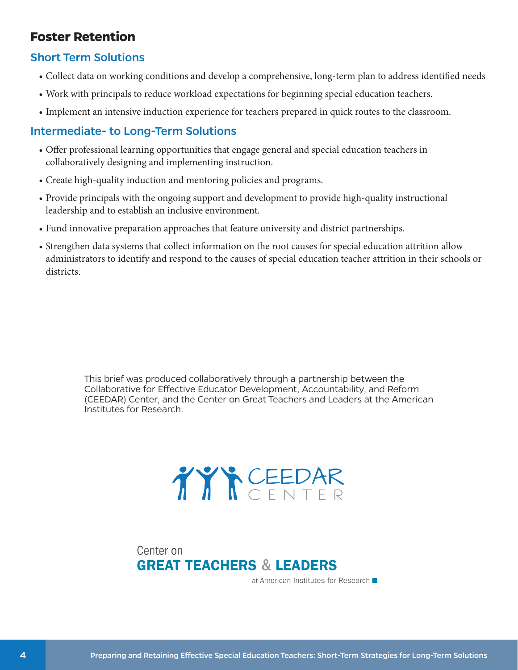### **Foster Retention**

#### Short Term Solutions

- Collect data on working conditions and develop a comprehensive, long-term plan to address identifed needs
- Work with principals to reduce workload expectations for beginning special education teachers.
- Implement an intensive induction experience for teachers prepared in quick routes to the classroom.

#### Intermediate- to Long-Term Solutions

- Ofer professional learning opportunities that engage general and special education teachers in collaboratively designing and implementing instruction.
- Create high-quality induction and mentoring policies and programs.
- Provide principals with the ongoing support and development to provide high-quality instructional leadership and to establish an inclusive environment.
- Fund innovative preparation approaches that feature university and district partnerships.
- Strengthen data systems that collect information on the root causes for special education attrition allow administrators to identify and respond to the causes of special education teacher attrition in their schools or districts.

This brief was produced collaboratively through a partnership between the Collaborative for Efective Educator Development, Accountability, and Reform (CEEDAR) Center, and the Center on Great Teachers and Leaders at the American Institutes for Research.

# TYYCEEDAR

Center on **GREAT TEACHERS & LEADERS** 

at American Institutes for Research